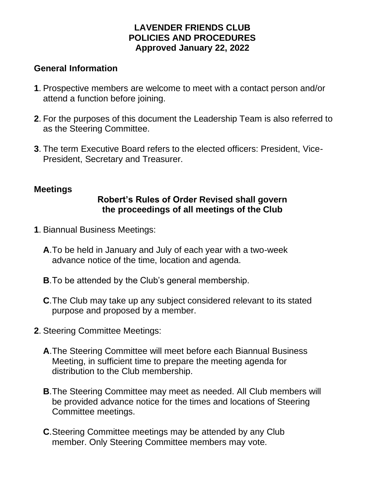## **LAVENDER FRIENDS CLUB POLICIES AND PROCEDURES Approved January 22, 2022**

## **General Information**

- **1**. Prospective members are welcome to meet with a contact person and/or attend a function before joining.
- **2**. For the purposes of this document the Leadership Team is also referred to as the Steering Committee.
- **3**. The term Executive Board refers to the elected officers: President, Vice-President, Secretary and Treasurer.

#### **Meetings**

#### **Robert's Rules of Order Revised shall govern the proceedings of all meetings of the Club**

- **1**. Biannual Business Meetings:
	- **A**.To be held in January and July of each year with a two-week advance notice of the time, location and agenda.
	- **B**.To be attended by the Club's general membership.
	- **C**.The Club may take up any subject considered relevant to its stated purpose and proposed by a member.
- **2**. Steering Committee Meetings:
	- **A**.The Steering Committee will meet before each Biannual Business Meeting, in sufficient time to prepare the meeting agenda for distribution to the Club membership.
	- **B**.The Steering Committee may meet as needed. All Club members will be provided advance notice for the times and locations of Steering Committee meetings.
	- **C**.Steering Committee meetings may be attended by any Club member. Only Steering Committee members may vote.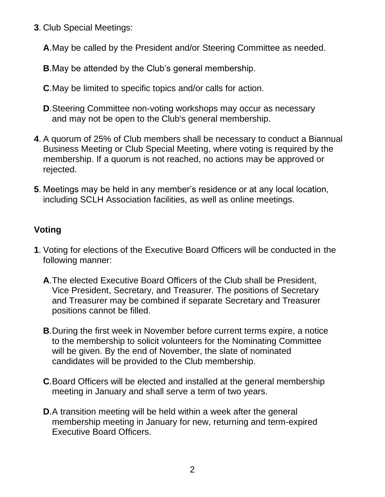**3**. Club Special Meetings:

**A**.May be called by the President and/or Steering Committee as needed.

**B**.May be attended by the Club's general membership.

- **C**.May be limited to specific topics and/or calls for action.
- **D**.Steering Committee non-voting workshops may occur as necessary and may not be open to the Club's general membership.
- **4**. A quorum of 25% of Club members shall be necessary to conduct a Biannual Business Meeting or Club Special Meeting, where voting is required by the membership. If a quorum is not reached, no actions may be approved or rejected.
- **5**. Meetings may be held in any member's residence or at any local location, including SCLH Association facilities, as well as online meetings.

# **Voting**

- **1**. Voting for elections of the Executive Board Officers will be conducted in the following manner:
	- **A**.The elected Executive Board Officers of the Club shall be President, Vice President, Secretary, and Treasurer. The positions of Secretary and Treasurer may be combined if separate Secretary and Treasurer positions cannot be filled.
	- **B**.During the first week in November before current terms expire, a notice to the membership to solicit volunteers for the Nominating Committee will be given. By the end of November, the slate of nominated candidates will be provided to the Club membership.
	- **C**.Board Officers will be elected and installed at the general membership meeting in January and shall serve a term of two years.
	- **D**.A transition meeting will be held within a week after the general membership meeting in January for new, returning and term-expired Executive Board Officers.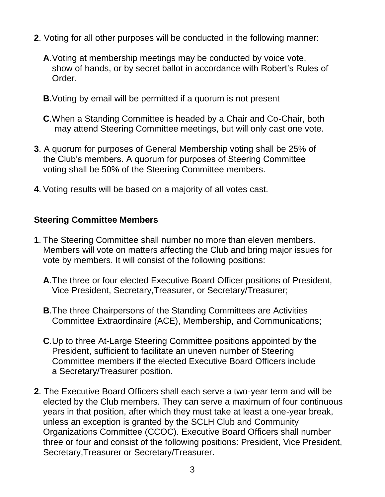- **2**. Voting for all other purposes will be conducted in the following manner:
	- **A**.Voting at membership meetings may be conducted by voice vote, show of hands, or by secret ballot in accordance with Robert's Rules of Order.
	- **B**.Voting by email will be permitted if a quorum is not present
	- **C**.When a Standing Committee is headed by a Chair and Co-Chair, both may attend Steering Committee meetings, but will only cast one vote.
- **3**. A quorum for purposes of General Membership voting shall be 25% of the Club's members. A quorum for purposes of Steering Committee voting shall be 50% of the Steering Committee members.
- **4**. Voting results will be based on a majority of all votes cast.

# **Steering Committee Members**

- **1**. The Steering Committee shall number no more than eleven members. Members will vote on matters affecting the Club and bring major issues for vote by members. It will consist of the following positions:
	- **A**.The three or four elected Executive Board Officer positions of President, Vice President, Secretary,Treasurer, or Secretary/Treasurer;
	- **B**.The three Chairpersons of the Standing Committees are Activities Committee Extraordinaire (ACE), Membership, and Communications;
	- **C**.Up to three At-Large Steering Committee positions appointed by the President, sufficient to facilitate an uneven number of Steering Committee members if the elected Executive Board Officers include a Secretary/Treasurer position.
- **2**. The Executive Board Officers shall each serve a two-year term and will be elected by the Club members. They can serve a maximum of four continuous years in that position, after which they must take at least a one-year break, unless an exception is granted by the SCLH Club and Community Organizations Committee (CCOC). Executive Board Officers shall number three or four and consist of the following positions: President, Vice President, Secretary,Treasurer or Secretary/Treasurer.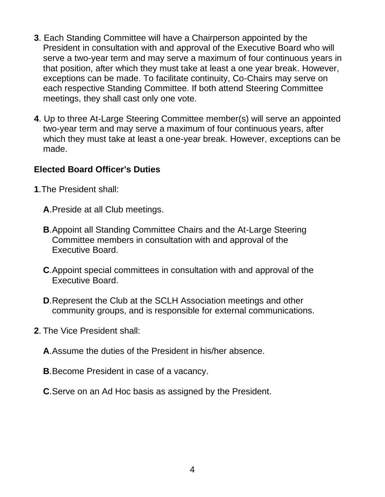- **3**. Each Standing Committee will have a Chairperson appointed by the President in consultation with and approval of the Executive Board who will serve a two-year term and may serve a maximum of four continuous years in that position, after which they must take at least a one year break. However, exceptions can be made. To facilitate continuity, Co-Chairs may serve on each respective Standing Committee. If both attend Steering Committee meetings, they shall cast only one vote.
- **4**. Up to three At-Large Steering Committee member(s) will serve an appointed two-year term and may serve a maximum of four continuous years, after which they must take at least a one-year break. However, exceptions can be made.

## **Elected Board Officer's Duties**

- **1**.The President shall:
	- **A**.Preside at all Club meetings.
	- **B**.Appoint all Standing Committee Chairs and the At-Large Steering Committee members in consultation with and approval of the Executive Board.
	- **C**.Appoint special committees in consultation with and approval of the Executive Board.
	- **D**.Represent the Club at the SCLH Association meetings and other community groups, and is responsible for external communications.
- **2**. The Vice President shall:
	- **A**.Assume the duties of the President in his/her absence.
	- **B**.Become President in case of a vacancy.
	- **C**.Serve on an Ad Hoc basis as assigned by the President.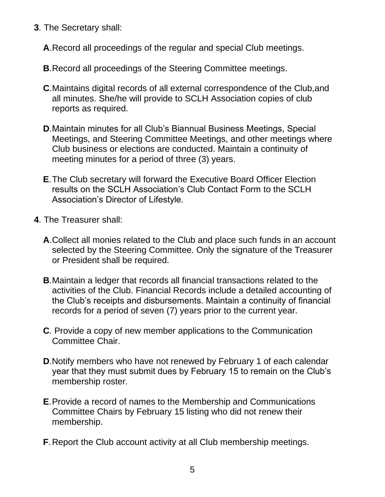**3**. The Secretary shall:

**A**.Record all proceedings of the regular and special Club meetings.

- **B**.Record all proceedings of the Steering Committee meetings.
- **C**.Maintains digital records of all external correspondence of the Club,and all minutes. She/he will provide to SCLH Association copies of club reports as required.
- **D**.Maintain minutes for all Club's Biannual Business Meetings, Special Meetings, and Steering Committee Meetings, and other meetings where Club business or elections are conducted. Maintain a continuity of meeting minutes for a period of three (3) years.
- **E**.The Club secretary will forward the Executive Board Officer Election results on the SCLH Association's Club Contact Form to the SCLH Association's Director of Lifestyle.
- **4**. The Treasurer shall:
	- **A**.Collect all monies related to the Club and place such funds in an account selected by the Steering Committee. Only the signature of the Treasurer or President shall be required.
	- **B**.Maintain a ledger that records all financial transactions related to the activities of the Club. Financial Records include a detailed accounting of the Club's receipts and disbursements. Maintain a continuity of financial records for a period of seven (7) years prior to the current year.
	- **C**. Provide a copy of new member applications to the Communication Committee Chair.
	- **D**.Notify members who have not renewed by February 1 of each calendar year that they must submit dues by February 15 to remain on the Club's membership roster.
	- **E**.Provide a record of names to the Membership and Communications Committee Chairs by February 15 listing who did not renew their membership.
	- **F**.Report the Club account activity at all Club membership meetings.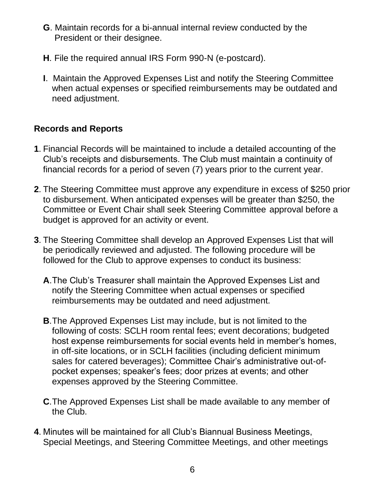- **G**. Maintain records for a bi-annual internal review conducted by the President or their designee.
- **H**. File the required annual IRS Form 990-N (e-postcard).
- **I**. Maintain the Approved Expenses List and notify the Steering Committee when actual expenses or specified reimbursements may be outdated and need adjustment.

# **Records and Reports**

- **1**. Financial Records will be maintained to include a detailed accounting of the Club's receipts and disbursements. The Club must maintain a continuity of financial records for a period of seven (7) years prior to the current year.
- **2**. The Steering Committee must approve any expenditure in excess of \$250 prior to disbursement. When anticipated expenses will be greater than \$250, the Committee or Event Chair shall seek Steering Committee approval before a budget is approved for an activity or event.
- **3**. The Steering Committee shall develop an Approved Expenses List that will be periodically reviewed and adjusted. The following procedure will be followed for the Club to approve expenses to conduct its business:
	- **A**.The Club's Treasurer shall maintain the Approved Expenses List and notify the Steering Committee when actual expenses or specified reimbursements may be outdated and need adjustment.
	- **B**.The Approved Expenses List may include, but is not limited to the following of costs: SCLH room rental fees; event decorations; budgeted host expense reimbursements for social events held in member's homes, in off-site locations, or in SCLH facilities (including deficient minimum sales for catered beverages); Committee Chair's administrative out-ofpocket expenses; speaker's fees; door prizes at events; and other expenses approved by the Steering Committee.
	- **C**.The Approved Expenses List shall be made available to any member of the Club.
- **4**. Minutes will be maintained for all Club's Biannual Business Meetings, Special Meetings, and Steering Committee Meetings, and other meetings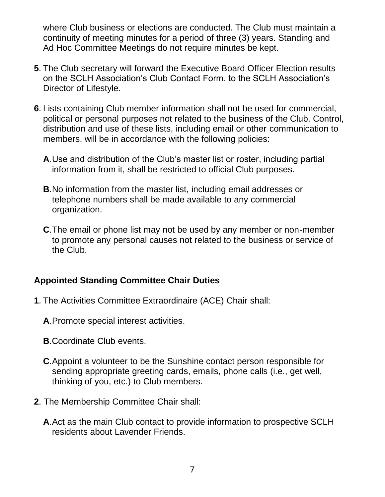where Club business or elections are conducted. The Club must maintain a continuity of meeting minutes for a period of three (3) years. Standing and Ad Hoc Committee Meetings do not require minutes be kept.

- **5**. The Club secretary will forward the Executive Board Officer Election results on the SCLH Association's Club Contact Form. to the SCLH Association's Director of Lifestyle.
- **6**. Lists containing Club member information shall not be used for commercial, political or personal purposes not related to the business of the Club. Control, distribution and use of these lists, including email or other communication to members, will be in accordance with the following policies:
	- **A**.Use and distribution of the Club's master list or roster, including partial information from it, shall be restricted to official Club purposes.
	- **B**.No information from the master list, including email addresses or telephone numbers shall be made available to any commercial organization.
	- **C**.The email or phone list may not be used by any member or non-member to promote any personal causes not related to the business or service of the Club.

# **Appointed Standing Committee Chair Duties**

- **1**. The Activities Committee Extraordinaire (ACE) Chair shall:
	- **A**.Promote special interest activities.
	- **B**.Coordinate Club events.
	- **C**.Appoint a volunteer to be the Sunshine contact person responsible for sending appropriate greeting cards, emails, phone calls (i.e., get well, thinking of you, etc.) to Club members.
- **2**. The Membership Committee Chair shall:
	- **A**.Act as the main Club contact to provide information to prospective SCLH residents about Lavender Friends.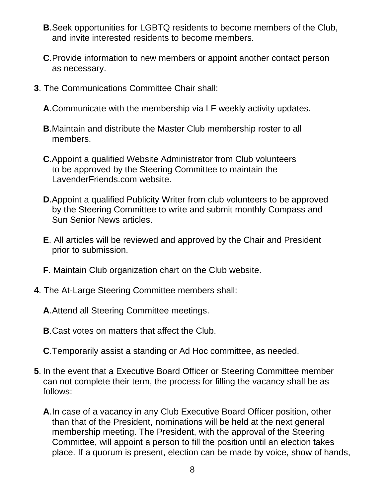- **B**.Seek opportunities for LGBTQ residents to become members of the Club, and invite interested residents to become members.
- **C**.Provide information to new members or appoint another contact person as necessary.
- **3**. The Communications Committee Chair shall:
	- **A**.Communicate with the membership via LF weekly activity updates.
	- **B**.Maintain and distribute the Master Club membership roster to all members.
	- **C**.Appoint a qualified Website Administrator from Club volunteers to be approved by the Steering Committee to maintain the LavenderFriends.com website.
	- **D**.Appoint a qualified Publicity Writer from club volunteers to be approved by the Steering Committee to write and submit monthly Compass and Sun Senior News articles.
	- **E**. All articles will be reviewed and approved by the Chair and President prior to submission.
	- **F**. Maintain Club organization chart on the Club website.
- **4**. The At-Large Steering Committee members shall:
	- **A**.Attend all Steering Committee meetings.
	- **B**.Cast votes on matters that affect the Club.
	- **C**.Temporarily assist a standing or Ad Hoc committee, as needed.
- **5**. In the event that a Executive Board Officer or Steering Committee member can not complete their term, the process for filling the vacancy shall be as follows:
	- **A**.In case of a vacancy in any Club Executive Board Officer position, other than that of the President, nominations will be held at the next general membership meeting. The President, with the approval of the Steering Committee, will appoint a person to fill the position until an election takes place. If a quorum is present, election can be made by voice, show of hands,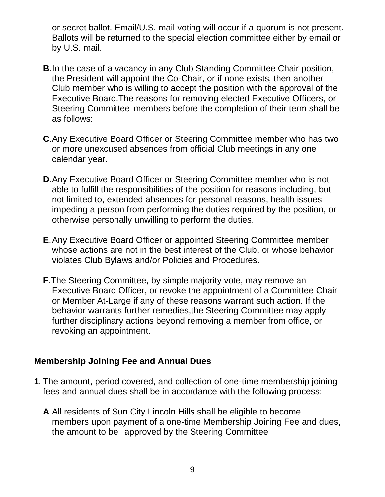or secret ballot. Email/U.S. mail voting will occur if a quorum is not present. Ballots will be returned to the special election committee either by email or by U.S. mail.

- **B**.In the case of a vacancy in any Club Standing Committee Chair position, the President will appoint the Co-Chair, or if none exists, then another Club member who is willing to accept the position with the approval of the Executive Board.The reasons for removing elected Executive Officers, or Steering Committee members before the completion of their term shall be as follows:
- **C**.Any Executive Board Officer or Steering Committee member who has two or more unexcused absences from official Club meetings in any one calendar year.
- **D**.Any Executive Board Officer or Steering Committee member who is not able to fulfill the responsibilities of the position for reasons including, but not limited to, extended absences for personal reasons, health issues impeding a person from performing the duties required by the position, or otherwise personally unwilling to perform the duties.
- **E**.Any Executive Board Officer or appointed Steering Committee member whose actions are not in the best interest of the Club, or whose behavior violates Club Bylaws and/or Policies and Procedures.
- **F**.The Steering Committee, by simple majority vote, may remove an Executive Board Officer, or revoke the appointment of a Committee Chair or Member At-Large if any of these reasons warrant such action. If the behavior warrants further remedies,the Steering Committee may apply further disciplinary actions beyond removing a member from office, or revoking an appointment.

# **Membership Joining Fee and Annual Dues**

- **1**. The amount, period covered, and collection of one-time membership joining fees and annual dues shall be in accordance with the following process:
	- **A**.All residents of Sun City Lincoln Hills shall be eligible to become members upon payment of a one-time Membership Joining Fee and dues, the amount to be approved by the Steering Committee.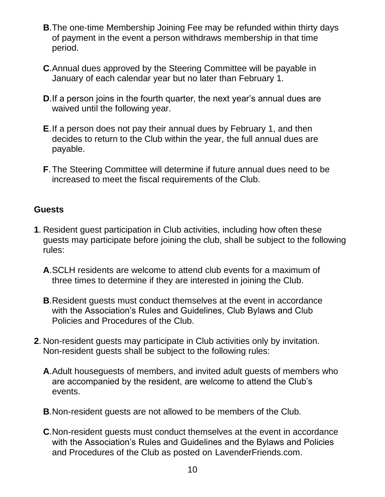- **B**. The one-time Membership Joining Fee may be refunded within thirty days of payment in the event a person withdraws membership in that time period.
- **C**.Annual dues approved by the Steering Committee will be payable in January of each calendar year but no later than February 1.
- **D**. If a person joins in the fourth quarter, the next year's annual dues are waived until the following year.
- **E**.If a person does not pay their annual dues by February 1, and then decides to return to the Club within the year, the full annual dues are payable.
- **F**.The Steering Committee will determine if future annual dues need to be increased to meet the fiscal requirements of the Club.

# **Guests**

- **1**. Resident guest participation in Club activities, including how often these guests may participate before joining the club, shall be subject to the following rules:
	- **A**.SCLH residents are welcome to attend club events for a maximum of three times to determine if they are interested in joining the Club.
	- **B**. Resident quests must conduct themselves at the event in accordance with the Association's Rules and Guidelines, Club Bylaws and Club Policies and Procedures of the Club.
- **2**. Non-resident guests may participate in Club activities only by invitation. Non-resident guests shall be subject to the following rules:
	- **A**.Adult houseguests of members, and invited adult guests of members who are accompanied by the resident, are welcome to attend the Club's events.
	- **B**.Non-resident guests are not allowed to be members of the Club.
	- **C**.Non-resident guests must conduct themselves at the event in accordance with the Association's Rules and Guidelines and the Bylaws and Policies and Procedures of the Club as posted on LavenderFriends.com.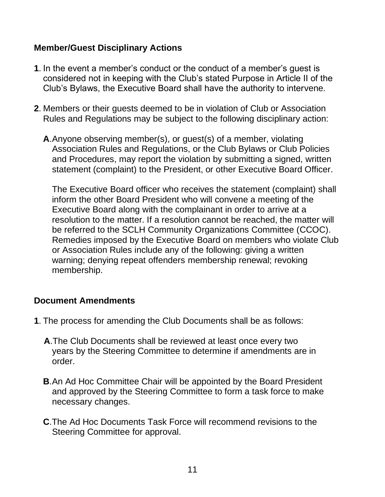# **Member/Guest Disciplinary Actions**

- **1**. In the event a member's conduct or the conduct of a member's guest is considered not in keeping with the Club's stated Purpose in Article II of the Club's Bylaws, the Executive Board shall have the authority to intervene.
- **2**. Members or their guests deemed to be in violation of Club or Association Rules and Regulations may be subject to the following disciplinary action:
	- **A**.Anyone observing member(s), or guest(s) of a member, violating Association Rules and Regulations, or the Club Bylaws or Club Policies and Procedures, may report the violation by submitting a signed, written statement (complaint) to the President, or other Executive Board Officer.

The Executive Board officer who receives the statement (complaint) shall inform the other Board President who will convene a meeting of the Executive Board along with the complainant in order to arrive at a resolution to the matter. If a resolution cannot be reached, the matter will be referred to the SCLH Community Organizations Committee (CCOC). Remedies imposed by the Executive Board on members who violate Club or Association Rules include any of the following: giving a written warning; denying repeat offenders membership renewal; revoking membership.

### **Document Amendments**

- **1**. The process for amending the Club Documents shall be as follows:
	- **A**.The Club Documents shall be reviewed at least once every two years by the Steering Committee to determine if amendments are in order.
	- **B**.An Ad Hoc Committee Chair will be appointed by the Board President and approved by the Steering Committee to form a task force to make necessary changes.
	- **C**.The Ad Hoc Documents Task Force will recommend revisions to the Steering Committee for approval.